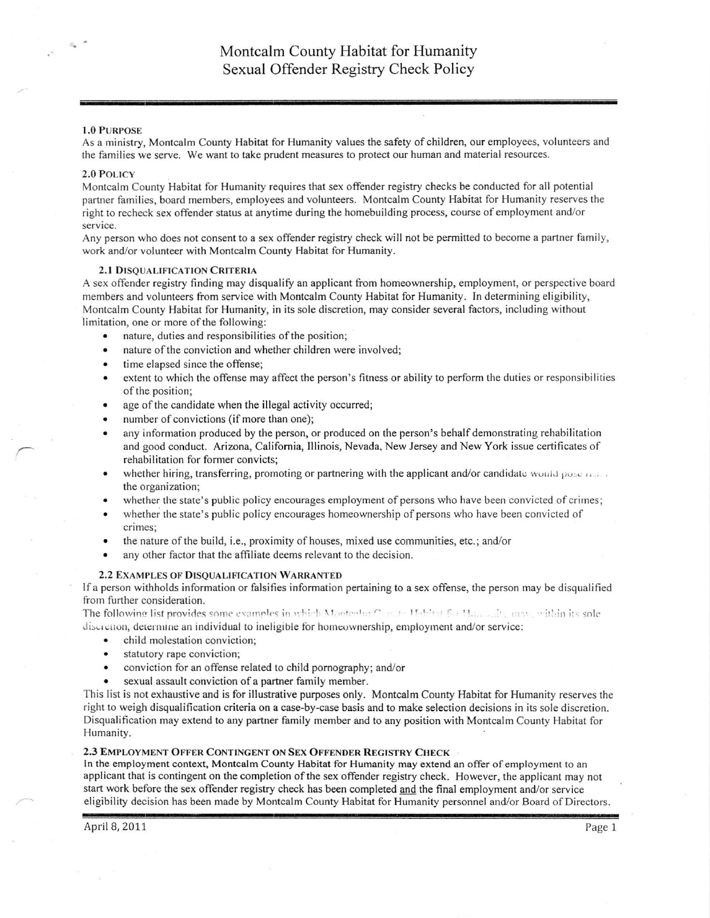## 1.0 PURPoSE

As a ministry, Montcalm County Habitat for Humanity values the safety of children, our employees, volunteers and the families we serve. We want to take prudent measures to protect our human and material resources.

### 2.0 PoLrcY

Montcalm County Habitat for Humanity requires that sex offender registry checks be conducted for all potential panner families, board members, employees and volunteers. Montcalm County Habitat for Humanity reserves the right to recheck sex offender status at anytime during the homebuilding process, course of employment and/or service.

Any person who does not consent to a sex offender registry check will not be permitted to become a partner family, work and/or volunteer with Montcalm County Habitat for Humanity.

## 2.1 DISOUALIFICATION CRITERIA

A sex offender registry finding may disqualify an applicant from homeownership, employment, or perspective board members and volunteers fiom service with Montcalm County Habitat for Humanity. In determining eligibility, Montcalm County Habitat for Humanity, in its sole discretion, may consider several factors, including without limitation, one or more of the following:

- nature, duties and responsibilities of the position;
- nature of the conviction and whether children were involved;
- time elapsed since the offense;
- extent to which the offense may affect the person's fitness or ability to perform the duties or responsibilities of the position;
- age of the candidate when the illegal activity occurred;
- number of convictions (if more than one);
- any information produced by the person, or produced on the person's behalf demonstrating rehabilitation and good conduct. Arizona, Califomia, Illinois, Nevada, New Jersey and New York issue certificates of rehabilitation for former convicts;
- whether hiring, transferring, promoting or partnering with the applicant and/or candidate would pose  $\ldots$ . the organization;
- whether the state's public policy encourages employment of persons who have been convicted of crimes;
- whether the state's public policy encourages homeownership of persons who have been convicted of crimes;
- the nature of the build, i.e., proximity of houses, mixed use communities, etc.; and/or
- any other factor that the affiliate deems relevant to the decision.

# 2.2 ExAMPLES oF DISQUALIFICATIoN WARRANTED

lf a person withholds information or falsifies information pertaining to a sex offense, the person may be disqualified from further consideration.

The following list provides some examples in which Montgalin Concated for Hammadis may, within its sole discretion, determine an individual to ineligible for homeownership, employment and/or service:

- . child molestation conviction;
- . statutory rape conviction;
- . conviction for an ofrense related to child pomography; and/or
- sexual assault conviction of a partner family member.

This list is not exhaustive and is for illustrative purposes only. Montcalm County Habitat for Humanity reserves the right to weigh disqualification criteria on a case-by-case basis and to make selection decisions in its sole discretion. Disqualification may extend to any partner family member and to any position with Montcalm County Habitat for Humanity.

## 2.3 EMPLOYMENT OFFER CONTINGENT ON SEX OFFENDER REGISTRY CHECK

In the employment context, Montcalm County Habitat for Humanity may extend an ofler ofemployment to an applicant that is contingent on the completion of the sex offender registry check. However, the applicant may not start work before the sex offender registry check has been completed and the final employment and/or service eligibility decision has been made by Montcalm County Habitat for Humanity personnel and/or Board of Directors.